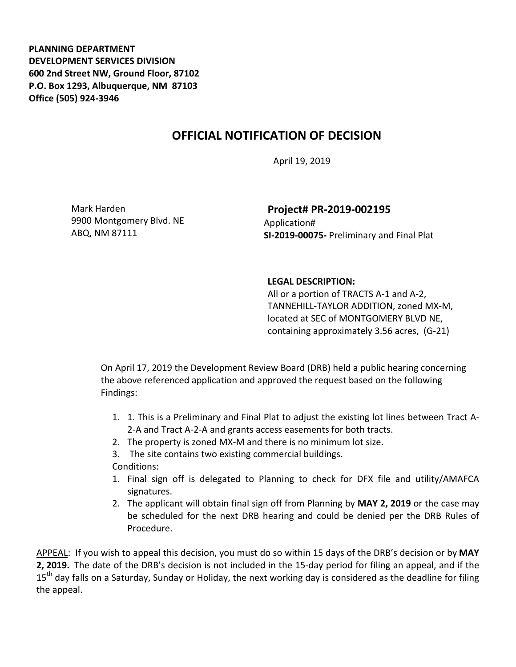**PLANNING DEPARTMENT DEVELOPMENT SERVICES DIVISION 600 2nd Street NW, Ground Floor, 87102 P.O. Box 1293, Albuquerque, NM 87103 Office (505) 924‐3946** 

## **OFFICIAL NOTIFICATION OF DECISION**

April 19, 2019

Mark Harden 9900 Montgomery Blvd. NE ABQ, NM 87111

**Project# PR‐2019‐002195** Application# **SI‐2019‐00075‐** Preliminary and Final Plat

## **LEGAL DESCRIPTION:**

All or a portion of TRACTS A‐1 and A‐2, TANNEHILL‐TAYLOR ADDITION, zoned MX‐M, located at SEC of MONTGOMERY BLVD NE, containing approximately 3.56 acres, (G‐21)

On April 17, 2019 the Development Review Board (DRB) held a public hearing concerning the above referenced application and approved the request based on the following Findings:

- 1. 1. This is a Preliminary and Final Plat to adjust the existing lot lines between Tract A‐ 2‐A and Tract A‐2‐A and grants access easements for both tracts.
- 2. The property is zoned MX‐M and there is no minimum lot size.
- 3. The site contains two existing commercial buildings.

Conditions:

- 1. Final sign off is delegated to Planning to check for DFX file and utility/AMAFCA signatures.
- 2. The applicant will obtain final sign off from Planning by **MAY 2, 2019** or the case may be scheduled for the next DRB hearing and could be denied per the DRB Rules of Procedure.

APPEAL: If you wish to appeal this decision, you must do so within 15 days of the DRB's decision or by **MAY 2, 2019.** The date of the DRB's decision is not included in the 15‐day period for filing an appeal, and if the 15<sup>th</sup> day falls on a Saturday, Sunday or Holiday, the next working day is considered as the deadline for filing the appeal.